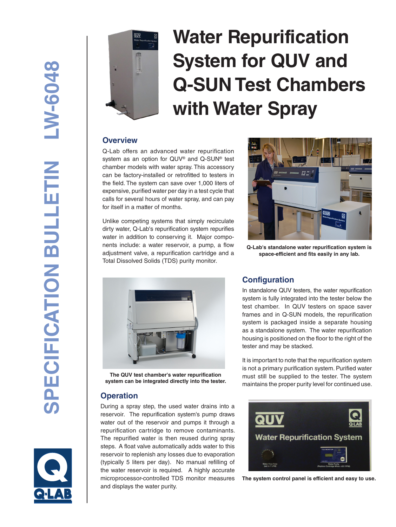

# **Water Repurification System for QUV and Q-SUN Test Chambers with Water Spray**

#### **Overview**

Q-Lab offers an advanced water repurification system as an option for QUV® and Q-SUN® test chamber models with water spray. This accessory can be factory-installed or retrofitted to testers in the field. The system can save over 1,000 liters of expensive, purified water per day in a test cycle that calls for several hours of water spray, and can pay for itself in a matter of months.

Unlike competing systems that simply recirculate dirty water, Q-Lab's repurification system repurifies water in addition to conserving it. Major components include: a water reservoir, a pump, a flow adjustment valve, a repurification cartridge and a Total Dissolved Solids (TDS) purity monitor.



**Q-Lab's standalone water repurification system is space-efficient and fits easily in any lab.**



**The QUV test chamber's water repurification system can be integrated directly into the tester.**

### **Operation**

During a spray step, the used water drains into a reservoir. The repurification system's pump draws water out of the reservoir and pumps it through a repurification cartridge to remove contaminants. The repurified water is then reused during spray steps. A float valve automatically adds water to this reservoir to replenish any losses due to evaporation (typically 5 liters per day). No manual refilling of the water reservoir is required. A highly accurate microprocessor-controlled TDS monitor measures and displays the water purity.

### **Configuration**

In standalone QUV testers, the water repurification system is fully integrated into the tester below the test chamber. In QUV testers on space saver frames and in Q-SUN models, the repurification system is packaged inside a separate housing as a standalone system. The water repurification housing is positioned on the floor to the right of the tester and may be stacked.

It is important to note that the repurification system is not a primary purification system. Purified water must still be supplied to the tester. The system maintains the proper purity level for continued use.



**The system control panel is efficient and easy to use.**